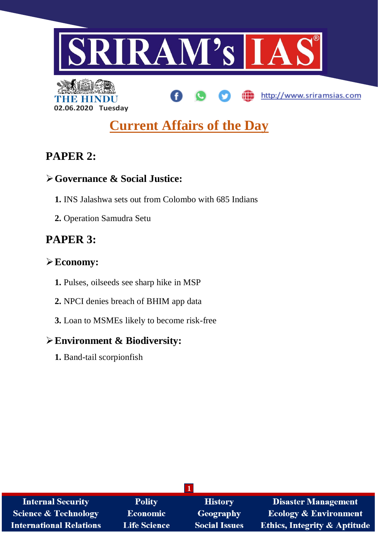

# **Current Affairs of the Day**

# **PAPER 2:**

**02.06.2020 Tuesday**

### **Governance & Social Justice:**

- **1.** INS Jalashwa sets out from Colombo with 685 Indians
- **2.** Operation Samudra Setu

# **PAPER 3:**

## **Economy:**

- **1.** Pulses, oilseeds see sharp hike in MSP
- **2.** NPCI denies breach of BHIM app data
- **3.** Loan to MSMEs likely to become risk-free

## **Environment & Biodiversity:**

**1.** Band-tail scorpionfish

| <b>Internal Security</b>        | <b>Polity</b>       | <b>History</b>       | <b>Disaster Management</b>              |
|---------------------------------|---------------------|----------------------|-----------------------------------------|
| <b>Science &amp; Technology</b> | Economic            | <b>Geography</b>     | <b>Ecology &amp; Environment</b>        |
| <b>International Relations</b>  | <b>Life Science</b> | <b>Social Issues</b> | <b>Ethics, Integrity &amp; Aptitude</b> |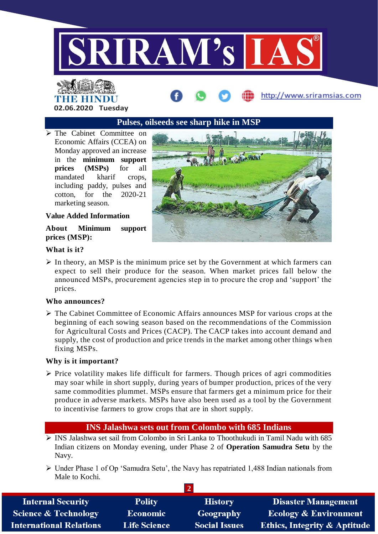

# THE HINDU **02.06.2020 Tuesday**

### **Pulses, oilseeds see sharp hike in MSP**

 The Cabinet Committee on Economic Affairs (CCEA) on Monday approved an increase in the **minimum support prices (MSPs)** for all mandated kharif crops, including paddy, pulses and cotton, for the 2020-21 marketing season.

#### **Value Added Information**

**About Minimum support prices (MSP):**



http://www.sriramsias.com

#### **What is it?**

 $\triangleright$  In theory, an MSP is the minimum price set by the Government at which farmers can expect to sell their produce for the season. When market prices fall below the announced MSPs, procurement agencies step in to procure the crop and 'support' the prices.

#### **Who announces?**

 The Cabinet Committee of Economic Affairs announces MSP for various crops at the beginning of each sowing season based on the recommendations of the Commission for Agricultural Costs and Prices (CACP). The CACP takes into account demand and supply, the cost of production and price trends in the market among other things when fixing MSPs.

#### **Why is it important?**

 $\triangleright$  Price volatility makes life difficult for farmers. Though prices of agri commodities may soar while in short supply, during years of bumper production, prices of the very same commodities plummet. MSPs ensure that farmers get a minimum price for their produce in adverse markets. MSPs have also been used as a tool by the Government to incentivise farmers to grow crops that are in short supply.

### **INS Jalashwa sets out from Colombo with 685 Indians**

- $\triangleright$  INS Jalashwa set sail from Colombo in Sri Lanka to Thoothukudi in Tamil Nadu with 685 Indian citizens on Monday evening, under Phase 2 of **Operation Samudra Setu** by the Navy.
- Under Phase 1 of Op 'Samudra Setu', the Navy has repatriated 1,488 Indian nationals from Male to Kochi.

| <b>Internal Security</b>        | <b>Polity</b>       | <b>History</b>       | <b>Disaster Management</b>              |
|---------------------------------|---------------------|----------------------|-----------------------------------------|
| <b>Science &amp; Technology</b> | <b>Economic</b>     | Geography            | <b>Ecology &amp; Environment</b>        |
| <b>International Relations</b>  | <b>Life Science</b> | <b>Social Issues</b> | <b>Ethics, Integrity &amp; Aptitude</b> |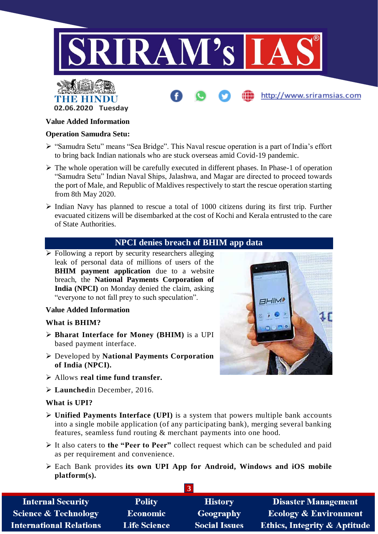



#### **Value Added Information**

#### **Operation Samudra Setu:**

- "Samudra Setu" means "Sea Bridge". This Naval rescue operation is a part of India's effort to bring back Indian nationals who are stuck overseas amid Covid-19 pandemic.
- $\triangleright$  The whole operation will be carefully executed in different phases. In Phase-1 of operation "Samudra Setu" Indian Naval Ships, Jalashwa, and Magar are directed to proceed towards the port of Male, and Republic of Maldives respectively to start the rescue operation starting from 8th May 2020.
- $\triangleright$  Indian Navy has planned to rescue a total of 1000 citizens during its first trip. Further evacuated citizens will be disembarked at the cost of Kochi and Kerala entrusted to the care of State Authorities.

#### **NPCI denies breach of BHIM app data**

 $\triangleright$  Following a report by security researchers alleging leak of personal data of millions of users of the **BHIM** payment application due to a website breach, the **National Payments Corporation of India (NPCI)** on Monday denied the claim, asking "everyone to not fall prey to such speculation".

#### **Value Added Information**

#### **What is BHIM?**

- **Bharat Interface for Money (BHIM)** is a UPI based payment interface.
- Developed by **National Payments Corporation of India (NPCI).**
- Allows **real time fund transfer.**
- **Launched**in December, 2016.

#### **What is UPI?**

- **Unified Payments Interface (UPI)** is a system that powers multiple bank accounts into a single mobile application (of any participating bank), merging several banking features, seamless fund routing & merchant payments into one hood.
- It also caters to **the "Peer to Peer"** collect request which can be scheduled and paid as per requirement and convenience.
- Each Bank provides **its own UPI App for Android, Windows and iOS mobile platform(s).**

| <b>Internal Security</b>        | <b>Polity</b>       | <b>History</b>       | <b>Disaster Management</b>              |
|---------------------------------|---------------------|----------------------|-----------------------------------------|
| <b>Science &amp; Technology</b> | Economic            | <b>Geography</b>     | <b>Ecology &amp; Environment</b>        |
| <b>International Relations</b>  | <b>Life Science</b> | <b>Social Issues</b> | <b>Ethics, Integrity &amp; Aptitude</b> |



http://www.sriramsias.com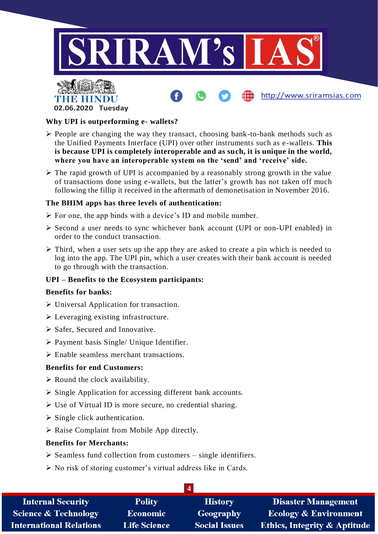

http://www.sriramsias.com



#### **Why UPI is outperforming e- wallets?**

- $\triangleright$  People are changing the way they transact, choosing bank-to-bank methods such as the Unified Payments Interface (UPI) over other instruments such as e-wallets. **This is because UPI is completely interoperable and as such, it is unique in the world, where you have an interoperable system on the 'send' and 'receive' side.**
- $\triangleright$  The rapid growth of UPI is accompanied by a reasonably strong growth in the value of transactions done using e-wallets, but the latter's growth has not taken off much following the fillip it received in the aftermath of demonetisation in November 2016.

#### **The BHIM apps has three levels of authentication:**

- $\triangleright$  For one, the app binds with a device's ID and mobile number.
- Second a user needs to sync whichever bank account (UPI or non-UPI enabled) in order to the conduct transaction.
- $\triangleright$  Third, when a user sets up the app they are asked to create a pin which is needed to log into the app. The UPI pin, which a user creates with their bank account is needed to go through with the transaction.

#### **UPI – Benefits to the Ecosystem participants:**

#### **Benefits for banks:**

- $\triangleright$  Universal Application for transaction.
- Everaging existing infrastructure.
- $\triangleright$  Safer. Secured and Innovative.
- $\triangleright$  Payment basis Single/ Unique Identifier.
- Enable seamless merchant transactions.

#### **Benefits for end Customers:**

- $\triangleright$  Round the clock availability.
- $\triangleright$  Single Application for accessing different bank accounts.
- Use of Virtual ID is more secure, no credential sharing.
- $\triangleright$  Single click authentication.
- $\triangleright$  Raise Complaint from Mobile App directly.

#### **Benefits for Merchants:**

- $\triangleright$  Seamless fund collection from customers single identifiers.
- $\triangleright$  No risk of storing customer's virtual address like in Cards.

| <b>Internal Security</b>        | <b>Polity</b>       | <b>History</b>       | <b>Disaster Management</b>              |
|---------------------------------|---------------------|----------------------|-----------------------------------------|
| <b>Science &amp; Technology</b> | <b>Economic</b>     | <b>Geography</b>     | <b>Ecology &amp; Environment</b>        |
| <b>International Relations</b>  | <b>Life Science</b> | <b>Social Issues</b> | <b>Ethics, Integrity &amp; Aptitude</b> |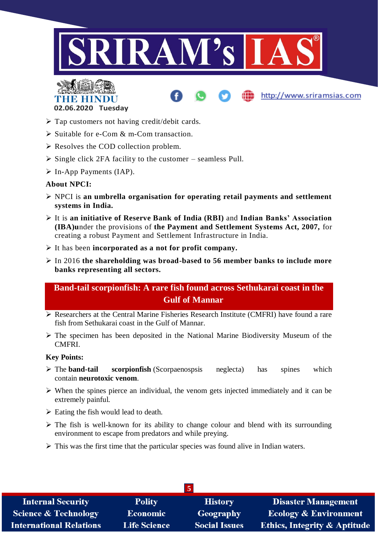

http://www.sriramsias.com



- $\triangleright$  Tap customers not having credit/debit cards.
- $\triangleright$  Suitable for e-Com & m-Com transaction.
- $\triangleright$  Resolves the COD collection problem.
- $\triangleright$  Single click 2FA facility to the customer seamless Pull.
- $\triangleright$  In-App Payments (IAP).

#### **About NPCI:**

- NPCI is **an umbrella organisation for operating retail payments and settlement systems in India.**
- It is **an initiative of Reserve Bank of India (RBI)** and **Indian Banks' Association (IBA)u**nder the provisions of **the Payment and Settlement Systems Act, 2007,** for creating a robust Payment and Settlement Infrastructure in India.
- It has been **incorporated as a not for profit company.**
- In 2016 **the shareholding was broad-based to 56 member banks to include more banks representing all sectors.**

### **Band-tail scorpionfish: A rare fish found across Sethukarai coast in the Gulf of Mannar**

- Researchers at the Central Marine Fisheries Research Institute (CMFRI) have found a rare fish from Sethukarai coast in the Gulf of Mannar.
- $\triangleright$  The specimen has been deposited in the National Marine Biodiversity Museum of the CMFRI.

#### **Key Points:**

- The **band-tail scorpionfish** (Scorpaenospsis neglecta) has spines which contain **neurotoxic venom**.
- $\triangleright$  When the spines pierce an individual, the venom gets injected immediately and it can be extremely painful.
- $\triangleright$  Eating the fish would lead to death.
- $\triangleright$  The fish is well-known for its ability to change colour and blend with its surrounding environment to escape from predators and while preying.
- $\triangleright$  This was the first time that the particular species was found alive in Indian waters.

| Э                               |                     |                      |                                         |
|---------------------------------|---------------------|----------------------|-----------------------------------------|
| <b>Internal Security</b>        | <b>Polity</b>       | <b>History</b>       | <b>Disaster Management</b>              |
| <b>Science &amp; Technology</b> | <b>Economic</b>     | Geography            | <b>Ecology &amp; Environment</b>        |
| <b>International Relations</b>  | <b>Life Science</b> | <b>Social Issues</b> | <b>Ethics, Integrity &amp; Aptitude</b> |